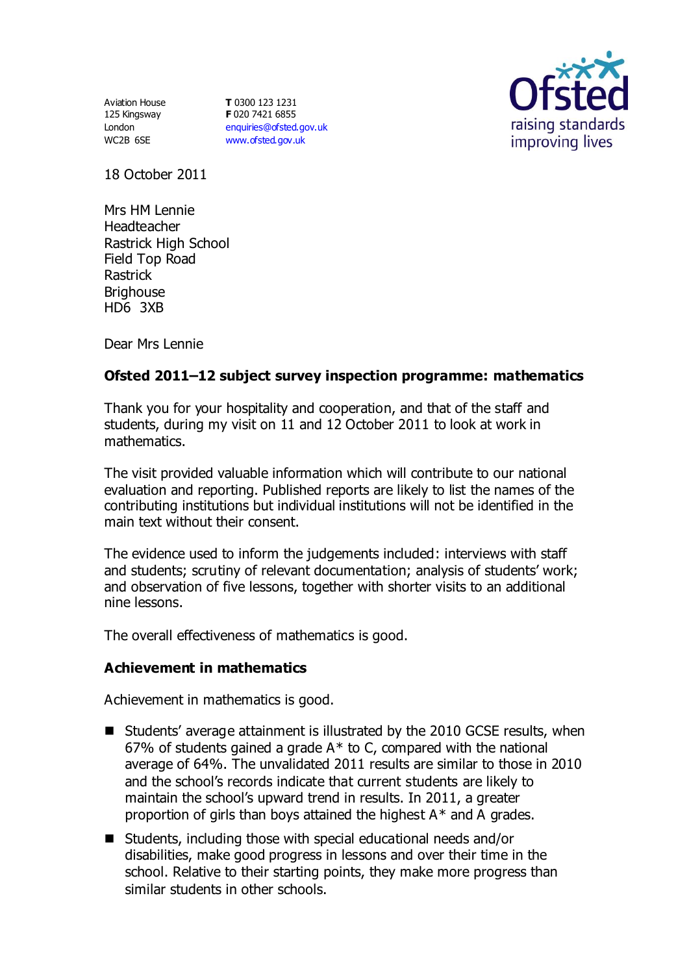Aviation House 125 Kingsway London WC2B 6SE

**T** 0300 123 1231 **F** 020 7421 6855 [enquiries@ofsted.gov.uk](mailto:enquiries@ofsted.gov.uk) [www.ofsted.gov.uk](http://www.ofsted.gov.uk/)



18 October 2011

Mrs HM Lennie Headteacher Rastrick High School Field Top Road Rastrick **Brighouse** HD6 3XB

Dear Mrs Lennie

# **Ofsted 2011–12 subject survey inspection programme: mathematics**

Thank you for your hospitality and cooperation, and that of the staff and students, during my visit on 11 and 12 October 2011 to look at work in mathematics.

The visit provided valuable information which will contribute to our national evaluation and reporting. Published reports are likely to list the names of the contributing institutions but individual institutions will not be identified in the main text without their consent.

The evidence used to inform the judgements included: interviews with staff and students; scrutiny of relevant documentation; analysis of students' work; and observation of five lessons, together with shorter visits to an additional nine lessons.

The overall effectiveness of mathematics is good.

### **Achievement in mathematics**

Achievement in mathematics is good.

- Students' average attainment is illustrated by the 2010 GCSE results, when 67% of students gained a grade  $A^*$  to C, compared with the national average of 64%. The unvalidated 2011 results are similar to those in 2010 and the school's records indicate that current students are likely to maintain the school's upward trend in results. In 2011, a greater proportion of girls than boys attained the highest A\* and A grades.
- Students, including those with special educational needs and/or disabilities, make good progress in lessons and over their time in the school. Relative to their starting points, they make more progress than similar students in other schools.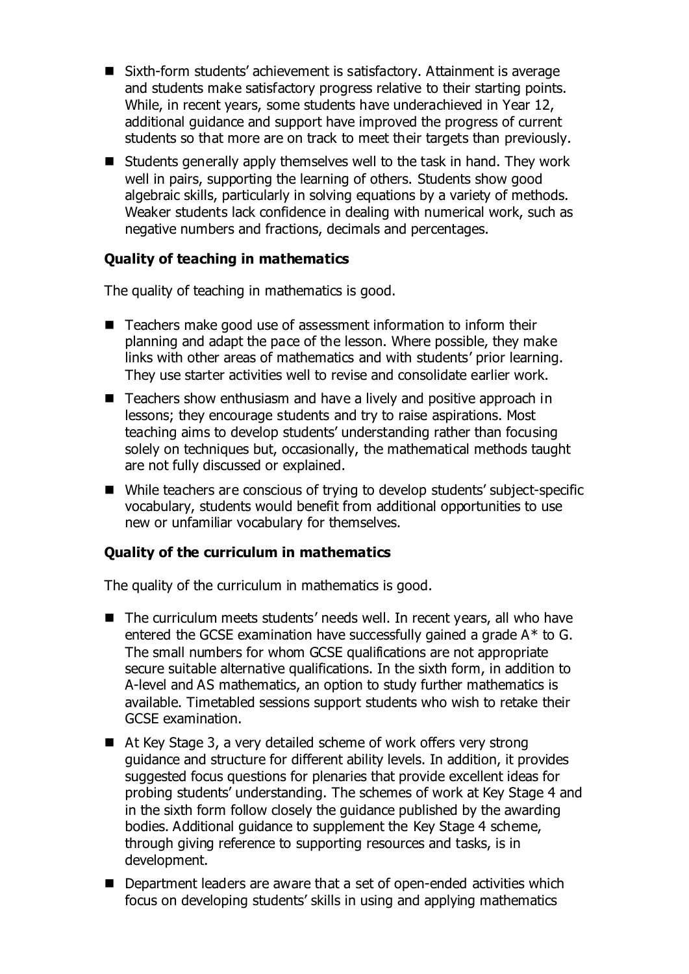- Sixth-form students' achievement is satisfactory. Attainment is average and students make satisfactory progress relative to their starting points. While, in recent years, some students have underachieved in Year 12, additional guidance and support have improved the progress of current students so that more are on track to meet their targets than previously.
- $\blacksquare$  Students generally apply themselves well to the task in hand. They work well in pairs, supporting the learning of others. Students show good algebraic skills, particularly in solving equations by a variety of methods. Weaker students lack confidence in dealing with numerical work, such as negative numbers and fractions, decimals and percentages.

## **Quality of teaching in mathematics**

The quality of teaching in mathematics is good.

- Teachers make good use of assessment information to inform their planning and adapt the pace of the lesson. Where possible, they make links with other areas of mathematics and with students' prior learning. They use starter activities well to revise and consolidate earlier work.
- Teachers show enthusiasm and have a lively and positive approach in lessons; they encourage students and try to raise aspirations. Most teaching aims to develop students' understanding rather than focusing solely on techniques but, occasionally, the mathematical methods taught are not fully discussed or explained.
- While teachers are conscious of trying to develop students' subject-specific vocabulary, students would benefit from additional opportunities to use new or unfamiliar vocabulary for themselves.

### **Quality of the curriculum in mathematics**

The quality of the curriculum in mathematics is good.

- The curriculum meets students' needs well. In recent years, all who have entered the GCSE examination have successfully gained a grade A\* to G. The small numbers for whom GCSE qualifications are not appropriate secure suitable alternative qualifications. In the sixth form, in addition to A-level and AS mathematics, an option to study further mathematics is available. Timetabled sessions support students who wish to retake their GCSE examination.
- At Key Stage 3, a very detailed scheme of work offers very strong guidance and structure for different ability levels. In addition, it provides suggested focus questions for plenaries that provide excellent ideas for probing students' understanding. The schemes of work at Key Stage 4 and in the sixth form follow closely the guidance published by the awarding bodies. Additional guidance to supplement the Key Stage 4 scheme, through giving reference to supporting resources and tasks, is in development.
- Department leaders are aware that a set of open-ended activities which focus on developing students' skills in using and applying mathematics